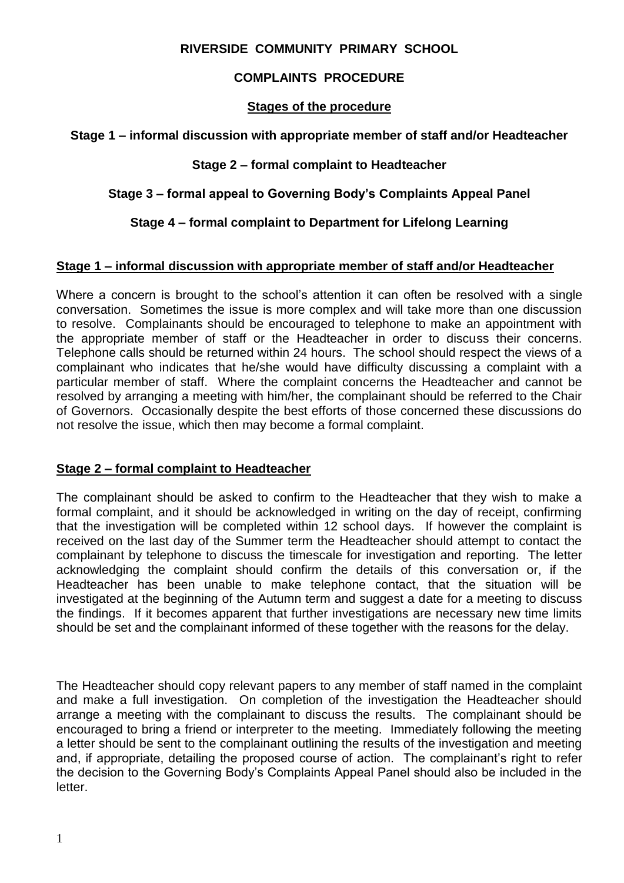### **RIVERSIDE COMMUNITY PRIMARY SCHOOL**

## **COMPLAINTS PROCEDURE**

### **Stages of the procedure**

#### **Stage 1 – informal discussion with appropriate member of staff and/or Headteacher**

### **Stage 2 – formal complaint to Headteacher**

## **Stage 3 – formal appeal to Governing Body's Complaints Appeal Panel**

# **Stage 4 – formal complaint to Department for Lifelong Learning**

#### **Stage 1 – informal discussion with appropriate member of staff and/or Headteacher**

Where a concern is brought to the school's attention it can often be resolved with a single conversation. Sometimes the issue is more complex and will take more than one discussion to resolve. Complainants should be encouraged to telephone to make an appointment with the appropriate member of staff or the Headteacher in order to discuss their concerns. Telephone calls should be returned within 24 hours. The school should respect the views of a complainant who indicates that he/she would have difficulty discussing a complaint with a particular member of staff. Where the complaint concerns the Headteacher and cannot be resolved by arranging a meeting with him/her, the complainant should be referred to the Chair of Governors. Occasionally despite the best efforts of those concerned these discussions do not resolve the issue, which then may become a formal complaint.

### **Stage 2 – formal complaint to Headteacher**

The complainant should be asked to confirm to the Headteacher that they wish to make a formal complaint, and it should be acknowledged in writing on the day of receipt, confirming that the investigation will be completed within 12 school days. If however the complaint is received on the last day of the Summer term the Headteacher should attempt to contact the complainant by telephone to discuss the timescale for investigation and reporting. The letter acknowledging the complaint should confirm the details of this conversation or, if the Headteacher has been unable to make telephone contact, that the situation will be investigated at the beginning of the Autumn term and suggest a date for a meeting to discuss the findings. If it becomes apparent that further investigations are necessary new time limits should be set and the complainant informed of these together with the reasons for the delay.

The Headteacher should copy relevant papers to any member of staff named in the complaint and make a full investigation. On completion of the investigation the Headteacher should arrange a meeting with the complainant to discuss the results. The complainant should be encouraged to bring a friend or interpreter to the meeting. Immediately following the meeting a letter should be sent to the complainant outlining the results of the investigation and meeting and, if appropriate, detailing the proposed course of action. The complainant's right to refer the decision to the Governing Body's Complaints Appeal Panel should also be included in the letter.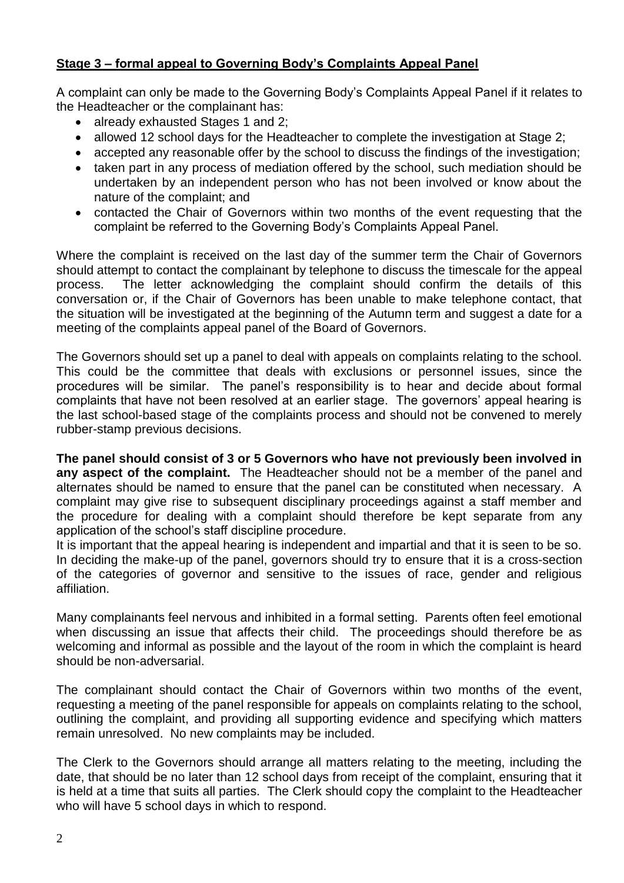## **Stage 3 – formal appeal to Governing Body's Complaints Appeal Panel**

A complaint can only be made to the Governing Body's Complaints Appeal Panel if it relates to the Headteacher or the complainant has:

- already exhausted Stages 1 and 2;
- allowed 12 school days for the Headteacher to complete the investigation at Stage 2:
- accepted any reasonable offer by the school to discuss the findings of the investigation;
- taken part in any process of mediation offered by the school, such mediation should be undertaken by an independent person who has not been involved or know about the nature of the complaint; and
- contacted the Chair of Governors within two months of the event requesting that the complaint be referred to the Governing Body's Complaints Appeal Panel.

Where the complaint is received on the last day of the summer term the Chair of Governors should attempt to contact the complainant by telephone to discuss the timescale for the appeal process. The letter acknowledging the complaint should confirm the details of this conversation or, if the Chair of Governors has been unable to make telephone contact, that the situation will be investigated at the beginning of the Autumn term and suggest a date for a meeting of the complaints appeal panel of the Board of Governors.

The Governors should set up a panel to deal with appeals on complaints relating to the school. This could be the committee that deals with exclusions or personnel issues, since the procedures will be similar. The panel's responsibility is to hear and decide about formal complaints that have not been resolved at an earlier stage. The governors' appeal hearing is the last school-based stage of the complaints process and should not be convened to merely rubber-stamp previous decisions.

**The panel should consist of 3 or 5 Governors who have not previously been involved in any aspect of the complaint.** The Headteacher should not be a member of the panel and alternates should be named to ensure that the panel can be constituted when necessary. A complaint may give rise to subsequent disciplinary proceedings against a staff member and the procedure for dealing with a complaint should therefore be kept separate from any application of the school's staff discipline procedure.

It is important that the appeal hearing is independent and impartial and that it is seen to be so. In deciding the make-up of the panel, governors should try to ensure that it is a cross-section of the categories of governor and sensitive to the issues of race, gender and religious affiliation.

Many complainants feel nervous and inhibited in a formal setting. Parents often feel emotional when discussing an issue that affects their child. The proceedings should therefore be as welcoming and informal as possible and the layout of the room in which the complaint is heard should be non-adversarial.

The complainant should contact the Chair of Governors within two months of the event, requesting a meeting of the panel responsible for appeals on complaints relating to the school, outlining the complaint, and providing all supporting evidence and specifying which matters remain unresolved. No new complaints may be included.

The Clerk to the Governors should arrange all matters relating to the meeting, including the date, that should be no later than 12 school days from receipt of the complaint, ensuring that it is held at a time that suits all parties. The Clerk should copy the complaint to the Headteacher who will have 5 school days in which to respond.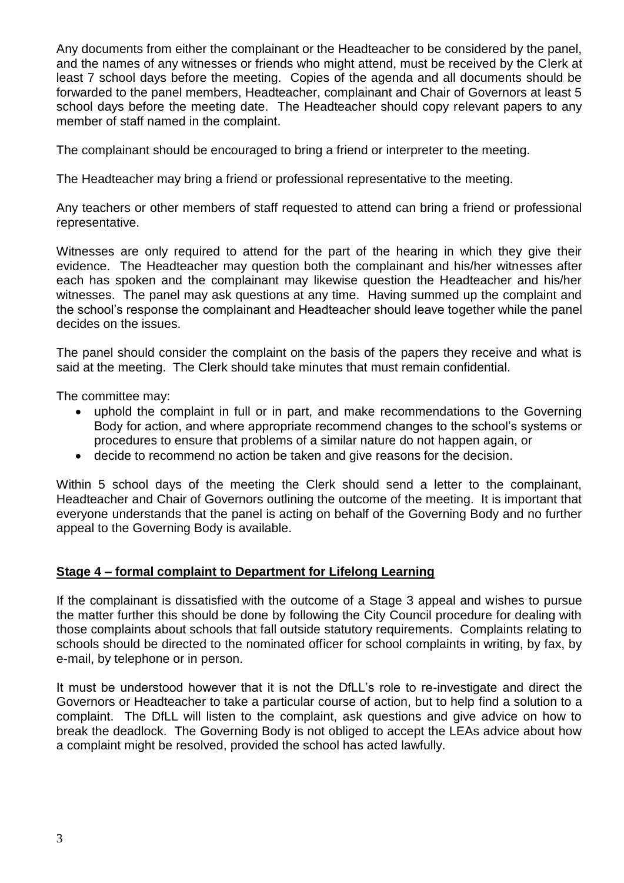Any documents from either the complainant or the Headteacher to be considered by the panel, and the names of any witnesses or friends who might attend, must be received by the Clerk at least 7 school days before the meeting. Copies of the agenda and all documents should be forwarded to the panel members, Headteacher, complainant and Chair of Governors at least 5 school days before the meeting date. The Headteacher should copy relevant papers to any member of staff named in the complaint.

The complainant should be encouraged to bring a friend or interpreter to the meeting.

The Headteacher may bring a friend or professional representative to the meeting.

Any teachers or other members of staff requested to attend can bring a friend or professional representative.

Witnesses are only required to attend for the part of the hearing in which they give their evidence. The Headteacher may question both the complainant and his/her witnesses after each has spoken and the complainant may likewise question the Headteacher and his/her witnesses. The panel may ask questions at any time. Having summed up the complaint and the school's response the complainant and Headteacher should leave together while the panel decides on the issues.

The panel should consider the complaint on the basis of the papers they receive and what is said at the meeting. The Clerk should take minutes that must remain confidential.

The committee may:

- uphold the complaint in full or in part, and make recommendations to the Governing Body for action, and where appropriate recommend changes to the school's systems or procedures to ensure that problems of a similar nature do not happen again, or
- decide to recommend no action be taken and give reasons for the decision.

Within 5 school days of the meeting the Clerk should send a letter to the complainant, Headteacher and Chair of Governors outlining the outcome of the meeting. It is important that everyone understands that the panel is acting on behalf of the Governing Body and no further appeal to the Governing Body is available.

### **Stage 4 – formal complaint to Department for Lifelong Learning**

If the complainant is dissatisfied with the outcome of a Stage 3 appeal and wishes to pursue the matter further this should be done by following the City Council procedure for dealing with those complaints about schools that fall outside statutory requirements. Complaints relating to schools should be directed to the nominated officer for school complaints in writing, by fax, by e-mail, by telephone or in person.

It must be understood however that it is not the DfLL's role to re-investigate and direct the Governors or Headteacher to take a particular course of action, but to help find a solution to a complaint. The DfLL will listen to the complaint, ask questions and give advice on how to break the deadlock. The Governing Body is not obliged to accept the LEAs advice about how a complaint might be resolved, provided the school has acted lawfully.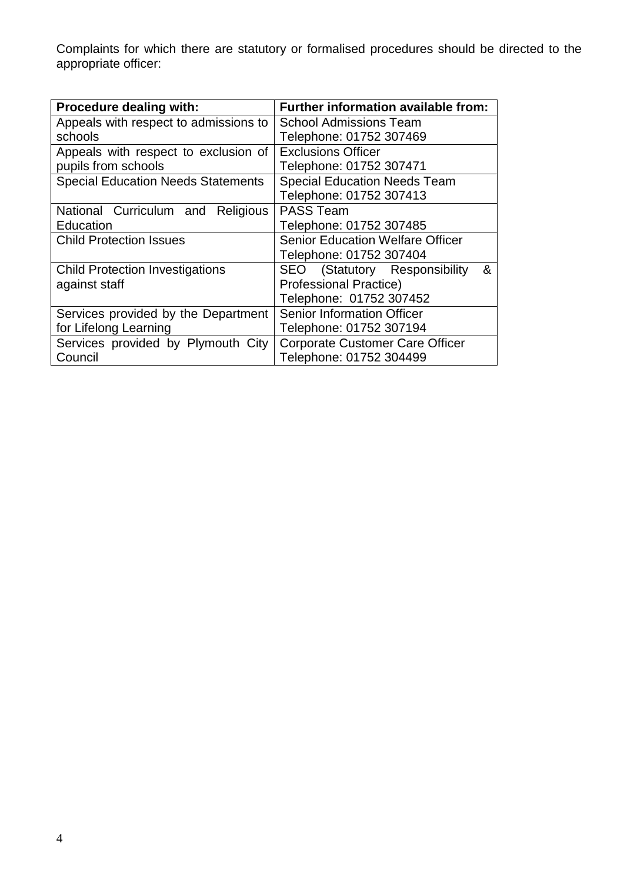Complaints for which there are statutory or formalised procedures should be directed to the appropriate officer:

| <b>Procedure dealing with:</b>            | Further information available from:     |  |
|-------------------------------------------|-----------------------------------------|--|
| Appeals with respect to admissions to     | <b>School Admissions Team</b>           |  |
| schools                                   | Telephone: 01752 307469                 |  |
| Appeals with respect to exclusion of      | <b>Exclusions Officer</b>               |  |
| pupils from schools                       | Telephone: 01752 307471                 |  |
| <b>Special Education Needs Statements</b> | <b>Special Education Needs Team</b>     |  |
|                                           | Telephone: 01752 307413                 |  |
| National Curriculum and<br>Religious      | <b>PASS Team</b>                        |  |
| Education                                 | Telephone: 01752 307485                 |  |
| <b>Child Protection Issues</b>            | <b>Senior Education Welfare Officer</b> |  |
|                                           | Telephone: 01752 307404                 |  |
| <b>Child Protection Investigations</b>    | SEO (Statutory Responsibility<br>&      |  |
| against staff                             | <b>Professional Practice)</b>           |  |
|                                           | Telephone: 01752 307452                 |  |
| Services provided by the Department       | <b>Senior Information Officer</b>       |  |
| for Lifelong Learning                     | Telephone: 01752 307194                 |  |
| Services provided by Plymouth City        | <b>Corporate Customer Care Officer</b>  |  |
| Council                                   | Telephone: 01752 304499                 |  |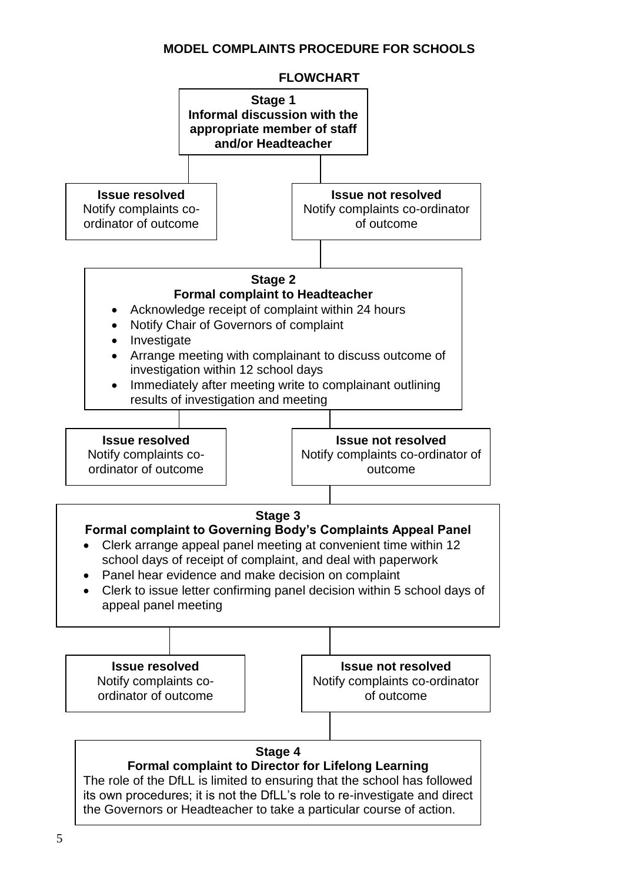### **MODEL COMPLAINTS PROCEDURE FOR SCHOOLS**

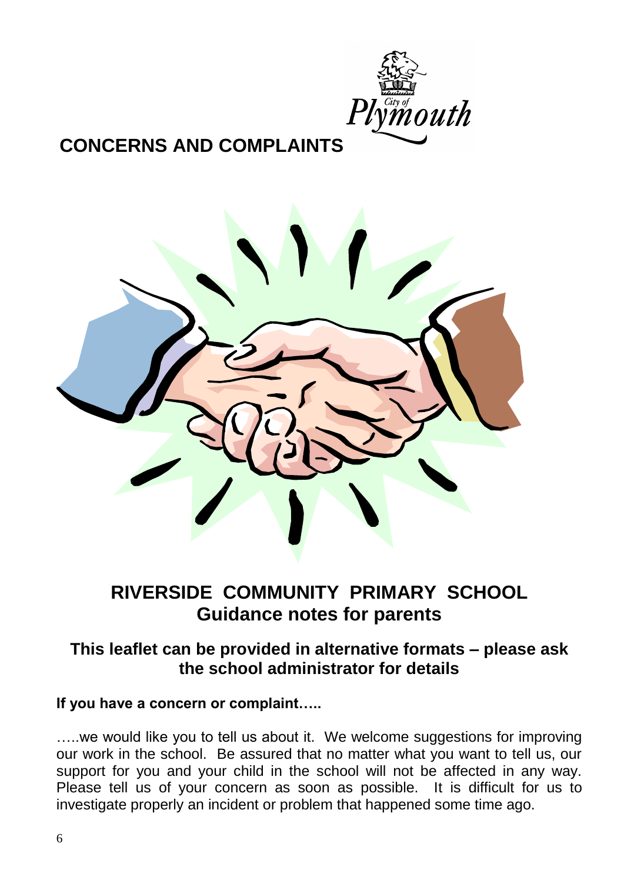

# **CONCERNS AND COMPLAINTS**



# **RIVERSIDE COMMUNITY PRIMARY SCHOOL Guidance notes for parents**

# **This leaflet can be provided in alternative formats – please ask the school administrator for details**

# **If you have a concern or complaint…..**

....we would like you to tell us about it. We welcome suggestions for improving our work in the school. Be assured that no matter what you want to tell us, our support for you and your child in the school will not be affected in any way. Please tell us of your concern as soon as possible. It is difficult for us to investigate properly an incident or problem that happened some time ago.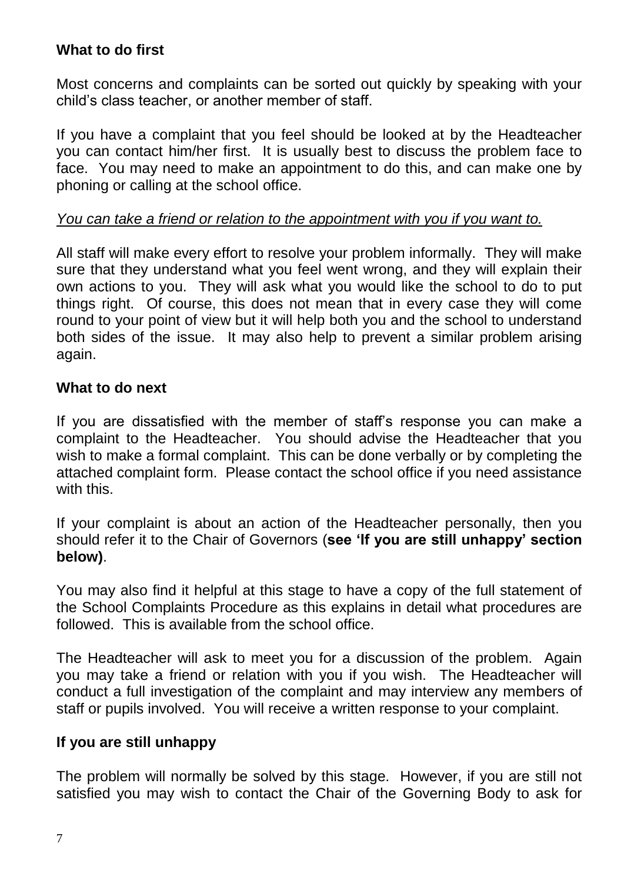# **What to do first**

Most concerns and complaints can be sorted out quickly by speaking with your child's class teacher, or another member of staff.

If you have a complaint that you feel should be looked at by the Headteacher you can contact him/her first. It is usually best to discuss the problem face to face. You may need to make an appointment to do this, and can make one by phoning or calling at the school office.

# *You can take a friend or relation to the appointment with you if you want to.*

All staff will make every effort to resolve your problem informally. They will make sure that they understand what you feel went wrong, and they will explain their own actions to you. They will ask what you would like the school to do to put things right. Of course, this does not mean that in every case they will come round to your point of view but it will help both you and the school to understand both sides of the issue. It may also help to prevent a similar problem arising again.

# **What to do next**

If you are dissatisfied with the member of staff's response you can make a complaint to the Headteacher. You should advise the Headteacher that you wish to make a formal complaint. This can be done verbally or by completing the attached complaint form. Please contact the school office if you need assistance with this.

If your complaint is about an action of the Headteacher personally, then you should refer it to the Chair of Governors (**see 'If you are still unhappy' section below)**.

You may also find it helpful at this stage to have a copy of the full statement of the School Complaints Procedure as this explains in detail what procedures are followed. This is available from the school office.

The Headteacher will ask to meet you for a discussion of the problem. Again you may take a friend or relation with you if you wish. The Headteacher will conduct a full investigation of the complaint and may interview any members of staff or pupils involved. You will receive a written response to your complaint.

# **If you are still unhappy**

The problem will normally be solved by this stage. However, if you are still not satisfied you may wish to contact the Chair of the Governing Body to ask for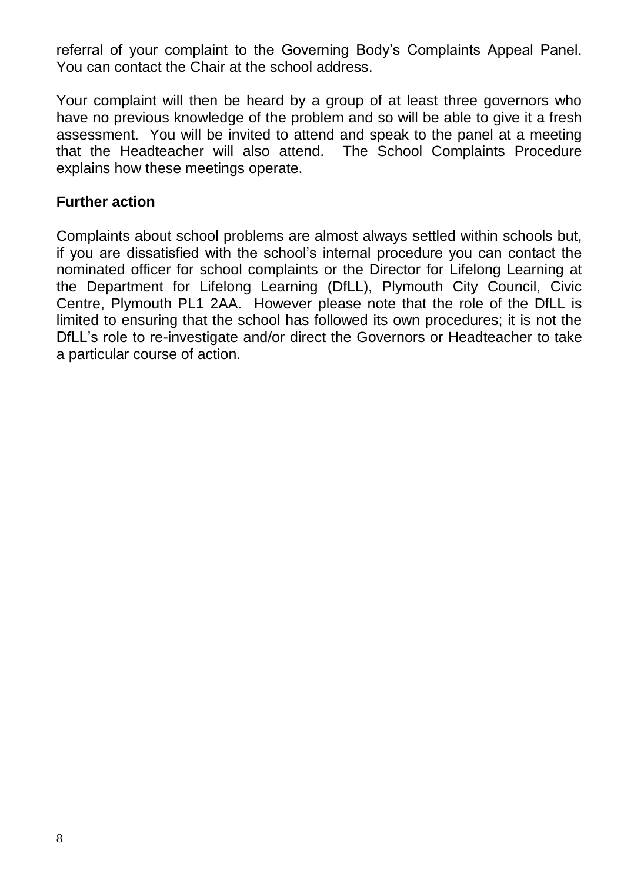referral of your complaint to the Governing Body's Complaints Appeal Panel. You can contact the Chair at the school address.

Your complaint will then be heard by a group of at least three governors who have no previous knowledge of the problem and so will be able to give it a fresh assessment. You will be invited to attend and speak to the panel at a meeting that the Headteacher will also attend. The School Complaints Procedure explains how these meetings operate.

# **Further action**

Complaints about school problems are almost always settled within schools but, if you are dissatisfied with the school's internal procedure you can contact the nominated officer for school complaints or the Director for Lifelong Learning at the Department for Lifelong Learning (DfLL), Plymouth City Council, Civic Centre, Plymouth PL1 2AA. However please note that the role of the DfLL is limited to ensuring that the school has followed its own procedures; it is not the DfLL's role to re-investigate and/or direct the Governors or Headteacher to take a particular course of action.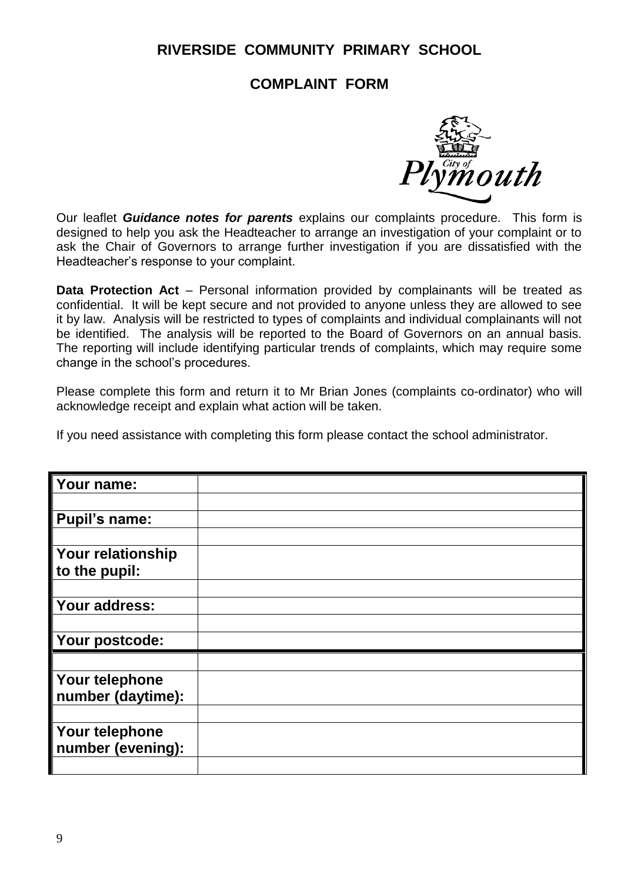# **RIVERSIDE COMMUNITY PRIMARY SCHOOL**

# **COMPLAINT FORM**



Our leaflet *Guidance notes for parents* explains our complaints procedure. This form is designed to help you ask the Headteacher to arrange an investigation of your complaint or to ask the Chair of Governors to arrange further investigation if you are dissatisfied with the Headteacher's response to your complaint.

**Data Protection Act** – Personal information provided by complainants will be treated as confidential. It will be kept secure and not provided to anyone unless they are allowed to see it by law. Analysis will be restricted to types of complaints and individual complainants will not be identified. The analysis will be reported to the Board of Governors on an annual basis. The reporting will include identifying particular trends of complaints, which may require some change in the school's procedures.

Please complete this form and return it to Mr Brian Jones (complaints co-ordinator) who will acknowledge receipt and explain what action will be taken.

If you need assistance with completing this form please contact the school administrator.

| Your name:           |  |
|----------------------|--|
|                      |  |
| <b>Pupil's name:</b> |  |
|                      |  |
| Your relationship    |  |
| to the pupil:        |  |
|                      |  |
| Your address:        |  |
|                      |  |
| Your postcode:       |  |
|                      |  |
| Your telephone       |  |
| number (daytime):    |  |
|                      |  |
| Your telephone       |  |
| number (evening):    |  |
|                      |  |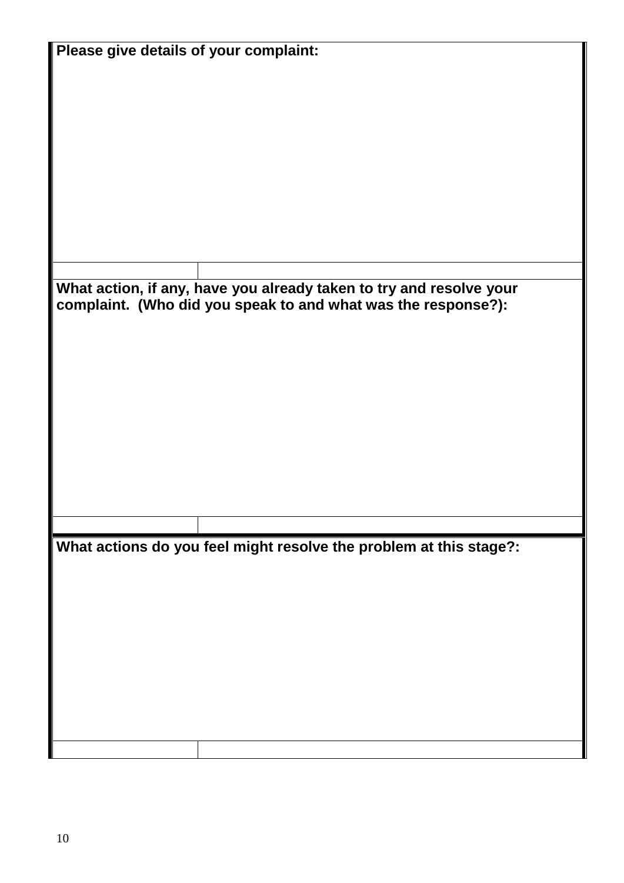| Please give details of your complaint: |                                                                     |  |  |
|----------------------------------------|---------------------------------------------------------------------|--|--|
|                                        |                                                                     |  |  |
|                                        |                                                                     |  |  |
|                                        |                                                                     |  |  |
|                                        |                                                                     |  |  |
|                                        |                                                                     |  |  |
|                                        |                                                                     |  |  |
|                                        |                                                                     |  |  |
|                                        |                                                                     |  |  |
|                                        |                                                                     |  |  |
|                                        |                                                                     |  |  |
|                                        |                                                                     |  |  |
|                                        |                                                                     |  |  |
|                                        |                                                                     |  |  |
|                                        |                                                                     |  |  |
|                                        |                                                                     |  |  |
|                                        |                                                                     |  |  |
|                                        |                                                                     |  |  |
|                                        |                                                                     |  |  |
|                                        | What action, if any, have you already taken to try and resolve your |  |  |
|                                        | complaint. (Who did you speak to and what was the response?):       |  |  |
|                                        |                                                                     |  |  |
|                                        |                                                                     |  |  |
|                                        |                                                                     |  |  |
|                                        |                                                                     |  |  |
|                                        |                                                                     |  |  |
|                                        |                                                                     |  |  |
|                                        |                                                                     |  |  |
|                                        |                                                                     |  |  |
|                                        |                                                                     |  |  |
|                                        |                                                                     |  |  |
|                                        |                                                                     |  |  |
|                                        |                                                                     |  |  |
|                                        |                                                                     |  |  |
|                                        |                                                                     |  |  |
|                                        |                                                                     |  |  |
|                                        |                                                                     |  |  |
|                                        |                                                                     |  |  |
|                                        |                                                                     |  |  |
|                                        | What actions do you feel might resolve the problem at this stage?:  |  |  |
|                                        |                                                                     |  |  |
|                                        |                                                                     |  |  |
|                                        |                                                                     |  |  |
|                                        |                                                                     |  |  |
|                                        |                                                                     |  |  |
|                                        |                                                                     |  |  |
|                                        |                                                                     |  |  |
|                                        |                                                                     |  |  |
|                                        |                                                                     |  |  |
|                                        |                                                                     |  |  |
|                                        |                                                                     |  |  |
|                                        |                                                                     |  |  |
|                                        |                                                                     |  |  |
|                                        |                                                                     |  |  |
|                                        |                                                                     |  |  |
|                                        |                                                                     |  |  |